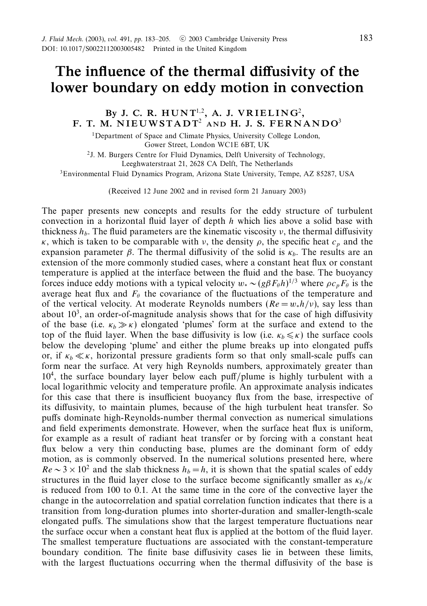# *The influence of the thermal diffusivity of the lower boundary on eddy motion in convection*

# *By J. C. R. HUNT*<sup>1,2</sup>, *A. J. VRIELING*<sup>2</sup>, *F. T. M. N I EUWSTADT*<sup>2</sup> *AND H. J. S. FERNANDO*<sup>3</sup>

<sup>1</sup>Department of Space and Climate Physics, University College London, Gower Street, London WC1E 6BT, UK

2J. M. Burgers Centre for Fluid Dynamics, Delft University of Technology, Leeghwaterstraat 21, 2628 CA Delft, The Netherlands

3Environmental Fluid Dynamics Program, Arizona State University, Tempe, AZ 85287, USA

(Received 12 June 2002 and in revised form 21 January 2003)

The paper presents new concepts and results for the eddy structure of turbulent convection in a horizontal fluid layer of depth *h* which lies above a solid base with thickness  $h<sub>b</sub>$ . The fluid parameters are the kinematic viscosity  $v$ , the thermal diffusivity *κ*, which is taken to be comparable with *ν*, the density  $\rho$ , the specific heat  $c_p$  and the expansion parameter  $\beta$ . The thermal diffusivity of the solid is  $\kappa_b$ . The results are an extension of the more commonly studied cases, where a constant heat flux or constant temperature is applied at the interface between the fluid and the base. The buoyancy forces induce eddy motions with a typical velocity  $w_* \sim (g\beta F_{\theta}h)^{1/3}$  where  $\rho c_p F_{\theta}$  is the average heat flux and  $F_\theta$  the covariance of the fluctuations of the temperature and of the vertical velocity. At moderate Reynolds numbers  $(Re = w_*h/\nu)$ , say less than about  $10<sup>3</sup>$ , an order-of-magnitude analysis shows that for the case of high diffusivity of the base (i.e.  $\kappa_b \gg \kappa$ ) elongated 'plumes' form at the surface and extend to the top of the fluid layer. When the base diffusivity is low (i.e.  $\kappa_b \leq \kappa$ ) the surface cools below the developing 'plume' and either the plume breaks up into elongated puffs or, if  $\kappa_b \ll \kappa$ , horizontal pressure gradients form so that only small-scale puffs can form near the surface. At very high Reynolds numbers, approximately greater than 104, the surface boundary layer below each puff/plume is highly turbulent with a local logarithmic velocity and temperature profile. An approximate analysis indicates for this case that there is insufficient buoyancy flux from the base, irrespective of its diffusivity, to maintain plumes, because of the high turbulent heat transfer. So puffs dominate high-Reynolds-number thermal convection as numerical simulations and field experiments demonstrate. However, when the surface heat flux is uniform, for example as a result of radiant heat transfer or by forcing with a constant heat flux below a very thin conducting base, plumes are the dominant form of eddy motion, as is commonly observed. In the numerical solutions presented here, where  $Re \sim 3 \times 10^2$  and the slab thickness  $h_b = h$ , it is shown that the spatial scales of eddy structures in the fluid layer close to the surface become significantly smaller as  $\kappa_b/\kappa$ is reduced from 100 to 0*.*1. At the same time in the core of the convective layer the change in the autocorrelation and spatial correlation function indicates that there is a transition from long-duration plumes into shorter-duration and smaller-length-scale elongated puffs. The simulations show that the largest temperature fluctuations near the surface occur when a constant heat flux is applied at the bottom of the fluid layer. The smallest temperature fluctuations are associated with the constant-temperature boundary condition. The finite base diffusivity cases lie in between these limits, with the largest fluctuations occurring when the thermal diffusivity of the base is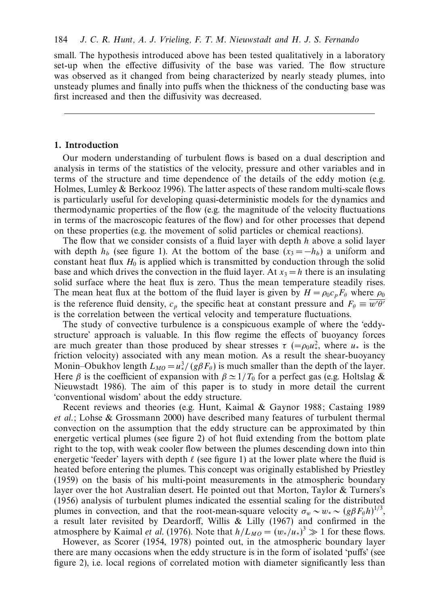small. The hypothesis introduced above has been tested qualitatively in a laboratory set-up when the effective diffusivity of the base was varied. The flow structure was observed as it changed from being characterized by nearly steady plumes, into unsteady plumes and finally into puffs when the thickness of the conducting base was first increased and then the diffusivity was decreased.

## *1. Introduction*

Our modern understanding of turbulent flows is based on a dual description and analysis in terms of the statistics of the velocity, pressure and other variables and in terms of the structure and time dependence of the details of the eddy motion (e.g. Holmes, Lumley & Berkooz 1996). The latter aspects of these random multi-scale flows is particularly useful for developing quasi-deterministic models for the dynamics and thermodynamic properties of the flow (e.g. the magnitude of the velocity fluctuations in terms of the macroscopic features of the flow) and for other processes that depend on these properties (e.g. the movement of solid particles or chemical reactions).

The flow that we consider consists of a fluid layer with depth *h* above a solid layer with depth  $h_b$  (see figure 1). At the bottom of the base  $(x_3 = -h_b)$  a uniform and constant heat flux  $H_0$  is applied which is transmitted by conduction through the solid base and which drives the convection in the fluid layer. At  $x_3 = h$  there is an insulating solid surface where the heat flux is zero. Thus the mean temperature steadily rises. The mean heat flux at the bottom of the fluid layer is given by  $H = \rho_0 c_p F_\theta$  where  $\rho_0$ is the reference fluid density,  $c_p$  the specific heat at constant pressure and  $F_\theta \equiv \overline{w'\theta'}$ is the correlation between the vertical velocity and temperature fluctuations.

The study of convective turbulence is a conspicuous example of where the 'eddystructure' approach is valuable. In this flow regime the effects of buoyancy forces are much greater than those produced by shear stresses  $\tau$  (= $\rho_0 u_*^2$ , where  $u_*$  is the friction velocity) associated with any mean motion. As a result the shear-buoyancy Monin–Obukhov length  $L_{MO} = u^3 / (g\beta F_\theta)$  is much smaller than the depth of the layer. Here *β* is the coefficient of expansion with  $\beta \approx 1/T_0$  for a perfect gas (e.g. Holtslag & Nieuwstadt 1986). The aim of this paper is to study in more detail the current 'conventional wisdom' about the eddy structure.

Recent reviews and theories (e.g. Hunt, Kaimal & Gaynor 1988; Castaing 1989 et al.; Lohse & Grossmann 2000) have described many features of turbulent thermal convection on the assumption that the eddy structure can be approximated by thin energetic vertical plumes (see figure 2) of hot fluid extending from the bottom plate right to the top, with weak cooler flow between the plumes descending down into thin energetic 'feeder' layers with depth  $\ell$  (see figure 1) at the lower plate where the fluid is heated before entering the plumes. This concept was originally established by Priestley (1959) on the basis of his multi-point measurements in the atmospheric boundary layer over the hot Australian desert. He pointed out that Morton, Taylor & Turners's (1956) analysis of turbulent plumes indicated the essential scaling for the distributed plumes in convection, and that the root-mean-square velocity  $\sigma_w \sim w_* \sim (g \beta F_\theta h)^{1/3}$ , a result later revisited by Deardorff, Willis & Lilly (1967) and confirmed in the atmosphere by Kaimal *et al.* (1976). Note that  $h/L_{MO} = (w_*/u_*)^3 \gg 1$  for these flows.

However, as Scorer (1954, 1978) pointed out, in the atmospheric boundary layer there are many occasions when the eddy structure is in the form of isolated 'puffs' (see figure 2), i.e. local regions of correlated motion with diameter significantly less than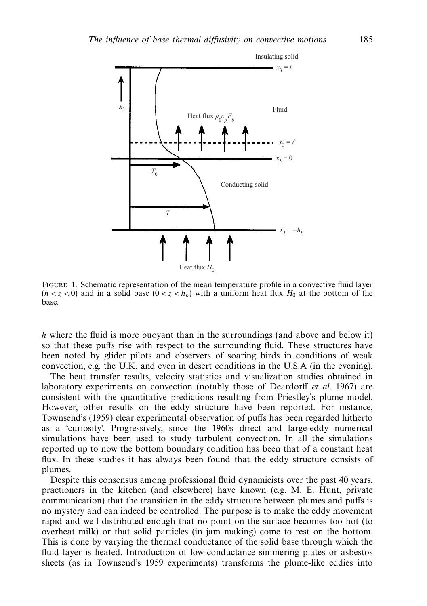

Figure 1. Schematic representation of the mean temperature profile in a convective fluid layer  $(h < z < 0)$  and in a solid base  $(0 < z < h_b)$  with a uniform heat flux *H*<sub>0</sub> at the bottom of the base.

*h* where the fluid is more buoyant than in the surroundings (and above and below it) so that these puffs rise with respect to the surrounding fluid. These structures have been noted by glider pilots and observers of soaring birds in conditions of weak convection, e.g. the U.K. and even in desert conditions in the U.S.A (in the evening).

The heat transfer results, velocity statistics and visualization studies obtained in laboratory experiments on convection (notably those of Deardorff et al. 1967) are consistent with the quantitative predictions resulting from Priestley's plume model. However, other results on the eddy structure have been reported. For instance, Townsend's (1959) clear experimental observation of puffs has been regarded hitherto as a 'curiosity'. Progressively, since the 1960s direct and large-eddy numerical simulations have been used to study turbulent convection. In all the simulations reported up to now the bottom boundary condition has been that of a constant heat flux. In these studies it has always been found that the eddy structure consists of plumes.

Despite this consensus among professional fluid dynamicists over the past 40 years, practioners in the kitchen (and elsewhere) have known (e.g. M. E. Hunt, private communication) that the transition in the eddy structure between plumes and puffs is no mystery and can indeed be controlled. The purpose is to make the eddy movement rapid and well distributed enough that no point on the surface becomes too hot (to overheat milk) or that solid particles (in jam making) come to rest on the bottom. This is done by varying the thermal conductance of the solid base through which the fluid layer is heated. Introduction of low-conductance simmering plates or asbestos sheets (as in Townsend's 1959 experiments) transforms the plume-like eddies into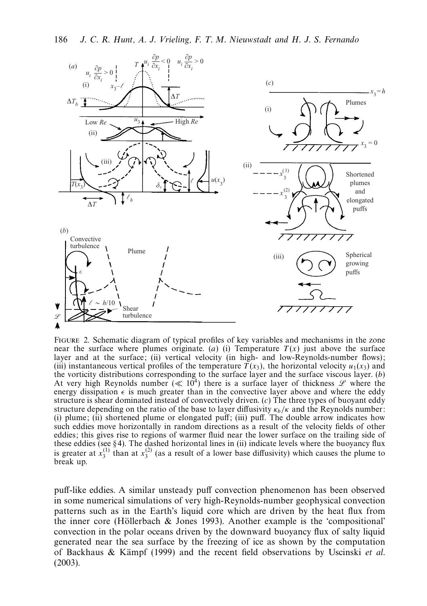

FIGURE 2. Schematic diagram of typical profiles of key variables and mechanisms in the zone near the surface where plumes originate. (*a*) (*i*) Temperature  $T(x)$  just above the surface layer and at the surface; (ii) vertical velocity (in high- and low-Reynolds-number flows); (iii) instantaneous vertical profiles of the temperature  $\overline{T}(x_3)$ , the horizontal velocity  $u_1(x_3)$  and the vorticity distributions corresponding to the surface layer and the surface viscous layer. (*b*) At very high Reynolds number ( $\ll 10^4$ ) there is a surface layer of thickness  $\mathscr L$  where the energy dissipation  $\epsilon$  is much greater than in the convective layer above and where the eddy structure is shear dominated instead of convectively driven. (*c*) The three types of buoyant eddy structure depending on the ratio of the base to layer diffusivity  $\kappa_b/\kappa$  and the Reynolds number: (i) plume; (ii) shortened plume or elongated puff; (iii) puff. The double arrow indicates how such eddies move horizontally in random directions as a result of the velocity fields of other eddies; this gives rise to regions of warmer fluid near the lower surface on the trailing side of these eddies (see § 4). The dashed horizontal lines in (ii) indicate levels where the buoyancy flux is greater at  $x_3^{(1)}$  than at  $x_3^{(2)}$  (as a result of a lower base diffusivity) which causes the plume to break up.

puff-like eddies. A similar unsteady puff convection phenomenon has been observed in some numerical simulations of very high-Reynolds-number geophysical convection patterns such as in the Earth's liquid core which are driven by the heat flux from the inner core (Höllerbach  $\&$  Jones 1993). Another example is the 'compositional' convection in the polar oceans driven by the downward buoyancy flux of salty liquid generated near the sea surface by the freezing of ice as shown by the computation of Backhaus & Kämpf (1999) and the recent field observations by Uscinski et al. (2003).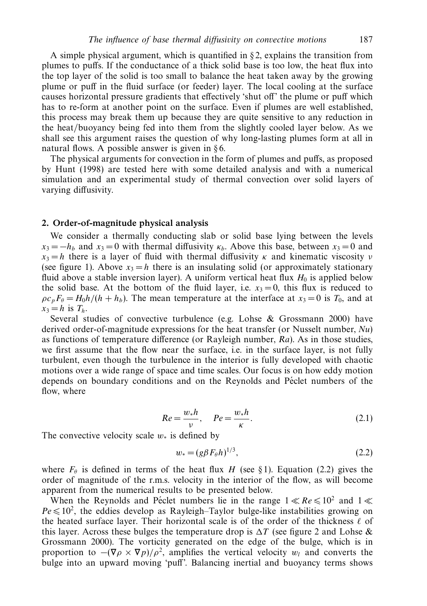A simple physical argument, which is quantified in  $\S$ 2, explains the transition from plumes to puffs. If the conductance of a thick solid base is too low, the heat flux into the top layer of the solid is too small to balance the heat taken away by the growing plume or puff in the fluid surface (or feeder) layer. The local cooling at the surface causes horizontal pressure gradients that effectively 'shut off' the plume or puff which has to re-form at another point on the surface. Even if plumes are well established, this process may break them up because they are quite sensitive to any reduction in the heat/buoyancy being fed into them from the slightly cooled layer below. As we shall see this argument raises the question of why long-lasting plumes form at all in natural flows. A possible answer is given in  $§ 6$ .

The physical arguments for convection in the form of plumes and puffs, as proposed by Hunt (1998) are tested here with some detailed analysis and with a numerical simulation and an experimental study of thermal convection over solid layers of varying diffusivity.

### *2. Order-of-magnitude physical analysis*

We consider a thermally conducting slab or solid base lying between the levels  $x_3 = -h_b$  and  $x_3 = 0$  with thermal diffusivity  $\kappa_b$ . Above this base, between  $x_3 = 0$  and  $x_3 = h$  there is a layer of fluid with thermal diffusivity *κ* and kinematic viscosity *ν* (see figure 1). Above  $x_3 = h$  there is an insulating solid (or approximately stationary fluid above a stable inversion layer). A uniform vertical heat flux  $H_0$  is applied below the solid base. At the bottom of the fluid layer, i.e.  $x_3 = 0$ , this flux is reduced to  $\rho c_p F_\theta = H_0 h / (h + h_b)$ . The mean temperature at the interface at  $x_3 = 0$  is  $T_0$ , and at  $x_3 = h$  is  $T_h$ .

Several studies of convective turbulence (e.g. Lohse & Grossmann 2000) have derived order-of-magnitude expressions for the heat transfer (or Nusselt number,  $Nu$ ) as functions of temperature difference (or Rayleigh number, Ra). As in those studies, we first assume that the flow near the surface, i.e. in the surface layer, is not fully turbulent, even though the turbulence in the interior is fully developed with chaotic motions over a wide range of space and time scales. Our focus is on how eddy motion depends on boundary conditions and on the Reynolds and Péclet numbers of the flow, where

$$
Re = \frac{w_* h}{v}, \quad Pe = \frac{w_* h}{\kappa}.
$$
\n(2.1)

The convective velocity scale *w*<sup>∗</sup> is defined by

$$
w_* = (g\beta F_{\theta}h)^{1/3},\tag{2.2}
$$

where  $F_\theta$  is defined in terms of the heat flux *H* (see § 1). Equation (2.2) gives the order of magnitude of the r.m.s. velocity in the interior of the flow, as will become apparent from the numerical results to be presented below.

When the Reynolds and Péclet numbers lie in the range  $1 \ll Re \leq 10^2$  and  $1 \ll$  $Pe \le 10^2$ , the eddies develop as Rayleigh–Taylor bulge-like instabilities growing on the heated surface layer. Their horizontal scale is of the order of the thickness  $\ell$  of this layer. Across these bulges the temperature drop is  $\Delta T$  (see figure 2 and Lohse & Grossmann 2000). The vorticity generated on the edge of the bulge, which is in proportion to  $-(\nabla \rho \times \nabla p)/\rho^2$ , amplifies the vertical velocity *w<sub>l</sub>* and converts the bulge into an upward moving 'puff'. Balancing inertial and buoyancy terms shows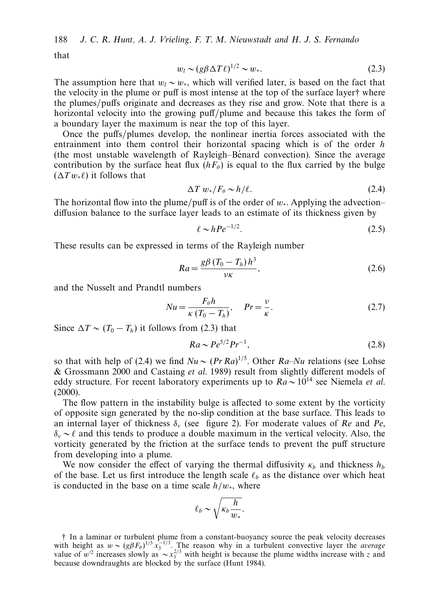188 J. C. R. Hunt, A. J. Vrieling, F. T. M. Nieuwstadt and H. J. S. Fernando

that

$$
w_l \sim (g\beta \Delta T \ell)^{1/2} \sim w_*.
$$

The assumption here that  $w_l \sim w_*$ , which will verified later, is based on the fact that the velocity in the plume or puff is most intense at the top of the surface layer† where the plumes/puffs originate and decreases as they rise and grow. Note that there is a horizontal velocity into the growing puff/plume and because this takes the form of a boundary layer the maximum is near the top of this layer.

Once the puffs/plumes develop, the nonlinear inertia forces associated with the entrainment into them control their horizontal spacing which is of the order *h* (the most unstable wavelength of Rayleigh–Bénard convection). Since the average contribution by the surface heat flux  $(hF_\theta)$  is equal to the flux carried by the bulge  $(\Delta T w_{*} \ell)$  it follows that

$$
\Delta T \, w_*/F_\theta \sim h/\ell. \tag{2.4}
$$

The horizontal flow into the plume/puff is of the order of *w*∗. Applying the advection– diffusion balance to the surface layer leads to an estimate of its thickness given by

$$
\ell \sim hPe^{-1/2}.\tag{2.5}
$$

These results can be expressed in terms of the Rayleigh number

$$
Ra = \frac{g\beta \left(T_0 - T_h\right)h^3}{\nu\kappa},\tag{2.6}
$$

and the Nusselt and Prandtl numbers

$$
Nu = \frac{F_{\theta}h}{\kappa (T_0 - T_h)}, \quad Pr = \frac{\nu}{\kappa}.
$$
\n(2.7)

Since  $\Delta T \sim (T_0 - T_h)$  it follows from (2.3) that

$$
Ra \sim Pe^{5/2}Pr^{-1},\tag{2.8}
$$

so that with help of (2.4) we find  $Nu \sim (Pr Ra)^{1/5}$ . Other  $Ra - Nu$  relations (see Lohse & Grossmann 2000 and Castaing et al. 1989) result from slightly different models of eddy structure. For recent laboratory experiments up to  $Ra \sim 10^{14}$  see Niemela *et al.* (2000).

The flow pattern in the instability bulge is affected to some extent by the vorticity of opposite sign generated by the no-slip condition at the base surface. This leads to an internal layer of thickness  $\delta_v$  (see figure 2). For moderate values of Re and Pe, *δ<sub>v</sub>* ∼ *l* and this tends to produce a double maximum in the vertical velocity. Also, the vorticity generated by the friction at the surface tends to prevent the puff structure from developing into a plume.

We now consider the effect of varying the thermal diffusivity  $\kappa_b$  and thickness  $h_b$ of the base. Let us first introduce the length scale  $\ell_b$  as the distance over which heat is conducted in the base on a time scale *h/w*∗, where

$$
\ell_b \sim \sqrt{\kappa_b \frac{h}{w_*}}.
$$

† In a laminar or turbulent plume from a constant-buoyancy source the peak velocity decreases with height as  $w \sim (g\beta F_{\theta})^{1/3} x_3^{-1/3}$ . The reason why in a turbulent convective layer the *average* value of *w*<sup>2</sup> increases slowly as  $\sim x_3^{2/3}$  with height is because the plume widths increase with *z* and because downdraughts are blocked by the surface (Hunt 1984).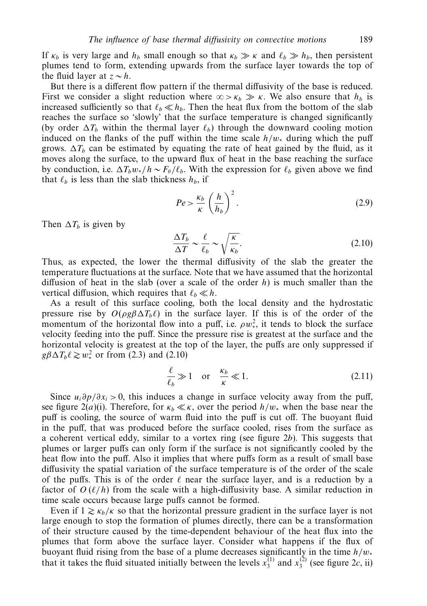If  $\kappa_b$  is very large and  $h_b$  small enough so that  $\kappa_b \gg \kappa$  and  $\ell_b \gg h_b$ , then persistent plumes tend to form, extending upwards from the surface layer towards the top of the fluid layer at  $z \sim h$ .

But there is a different flow pattern if the thermal diffusivity of the base is reduced. First we consider a slight reduction where  $\infty > \kappa_b \gg \kappa$ . We also ensure that  $h_b$  is increased sufficiently so that  $\ell_b \ll h_b$ . Then the heat flux from the bottom of the slab reaches the surface so 'slowly' that the surface temperature is changed significantly (by order  $\Delta T_b$  within the thermal layer  $\ell_b$ ) through the downward cooling motion induced on the flanks of the puff within the time scale *h/w*<sup>∗</sup> during which the puff grows.  $\Delta T_b$  can be estimated by equating the rate of heat gained by the fluid, as it moves along the surface, to the upward flux of heat in the base reaching the surface by conduction, i.e.  $\Delta T_b w_* / h \sim F_\theta / \ell_b$ . With the expression for  $\ell_b$  given above we find that  $\ell_b$  is less than the slab thickness  $h_b$ , if

$$
Pe > \frac{\kappa_b}{\kappa} \left(\frac{h}{h_b}\right)^2.
$$
 (2.9)

Then  $\Delta T_b$  is given by

$$
\frac{\Delta T_b}{\Delta T} \sim \frac{\ell}{\ell_b} \sim \sqrt{\frac{\kappa}{\kappa_b}}.\tag{2.10}
$$

Thus, as expected, the lower the thermal diffusivity of the slab the greater the temperature fluctuations at the surface. Note that we have assumed that the horizontal diffusion of heat in the slab (over a scale of the order *h*) is much smaller than the vertical diffusion, which requires that  $\ell_b \ll h$ .

As a result of this surface cooling, both the local density and the hydrostatic pressure rise by  $O(\rho g \beta \Delta T_b \ell)$  in the surface layer. If this is of the order of the momentum of the horizontal flow into a puff, i.e.  $\rho w_*^2$ , it tends to block the surface velocity feeding into the puff. Since the pressure rise is greatest at the surface and the horizontal velocity is greatest at the top of the layer, the puffs are only suppressed if  $g\beta\Delta T_b\ell \gtrsim w_*^2$  or from (2.3) and (2.10)

$$
\frac{\ell}{\ell_b} \gg 1 \quad \text{or} \quad \frac{\kappa_b}{\kappa} \ll 1. \tag{2.11}
$$

Since  $u_i\partial p/\partial x_i > 0$ , this induces a change in surface velocity away from the puff, see figure 2(*a*)(i). Therefore, for  $\kappa_b \ll \kappa$ , over the period  $h/w_*$  when the base near the puff is cooling, the source of warm fluid into the puff is cut off. The buoyant fluid in the puff, that was produced before the surface cooled, rises from the surface as a coherent vertical eddy, similar to a vortex ring (see figure 2*b*). This suggests that plumes or larger puffs can only form if the surface is not significantly cooled by the heat flow into the puff. Also it implies that where puffs form as a result of small base diffusivity the spatial variation of the surface temperature is of the order of the scale of the puffs. This is of the order  $\ell$  near the surface layer, and is a reduction by a factor of  $O(\ell/h)$  from the scale with a high-diffusivity base. A similar reduction in time scale occurs because large puffs cannot be formed.

Even if  $1 \gtrsim \kappa_b/\kappa$  so that the horizontal pressure gradient in the surface layer is not large enough to stop the formation of plumes directly, there can be a transformation of their structure caused by the time-dependent behaviour of the heat flux into the plumes that form above the surface layer. Consider what happens if the flux of buoyant fluid rising from the base of a plume decreases significantly in the time *h/w*<sup>∗</sup> that it takes the fluid situated initially between the levels  $x_3^{(1)}$  and  $x_3^{(2)}$  (see figure 2*c*, ii)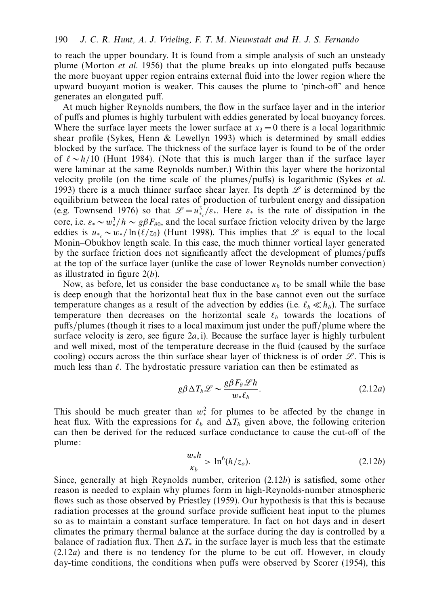to reach the upper boundary. It is found from a simple analysis of such an unsteady plume (Morton et al. 1956) that the plume breaks up into elongated puffs because the more buoyant upper region entrains external fluid into the lower region where the upward buoyant motion is weaker. This causes the plume to 'pinch-off' and hence generates an elongated puff.

At much higher Reynolds numbers, the flow in the surface layer and in the interior of puffs and plumes is highly turbulent with eddies generated by local buoyancy forces. Where the surface layer meets the lower surface at  $x_3 = 0$  there is a local logarithmic shear profile (Sykes, Henn & Lewellyn 1993) which is determined by small eddies blocked by the surface. The thickness of the surface layer is found to be of the order of ∼ *h/*10 (Hunt 1984). (Note that this is much larger than if the surface layer were laminar at the same Reynolds number.) Within this layer where the horizontal velocity profile (on the time scale of the plumes/puffs) is logarithmic (Sykes et al. 1993) there is a much thinner surface shear layer. Its depth  $\mathscr L$  is determined by the equilibrium between the local rates of production of turbulent energy and dissipation (e.g. Townsend 1976) so that  $\mathcal{L} = u_{\varepsilon}^3 / \varepsilon_*$ . Here  $\varepsilon_*$  is the rate of dissipation in the  $\frac{1}{2}$  *core, i.e. ε*∗ ∼ *w*<sup>3</sup>/*h* ∼ *gβF<sub>θ0</sub>*, and the local surface friction velocity driven by the large eddies is  $u_{*} \sim w_{*}/\ln(\ell/z_0)$  (Hunt 1998). This implies that L is equal to the local Monin–Obukhov length scale. In this case, the much thinner vortical layer generated by the surface friction does not significantly affect the development of plumes/puffs at the top of the surface layer (unlike the case of lower Reynolds number convection) as illustrated in figure 2(*b*).

Now, as before, let us consider the base conductance  $\kappa_b$  to be small while the base is deep enough that the horizontal heat flux in the base cannot even out the surface temperature changes as a result of the advection by eddies (i.e.  $\ell_b \ll h_b$ ). The surface temperature then decreases on the horizontal scale  $\ell_b$  towards the locations of puffs/plumes (though it rises to a local maximum just under the puff/plume where the surface velocity is zero, see figure 2*a*, i). Because the surface layer is highly turbulent and well mixed, most of the temperature decrease in the fluid (caused by the surface cooling) occurs across the thin surface shear layer of thickness is of order  $\mathscr{L}$ . This is much less than  $\ell$ . The hydrostatic pressure variation can then be estimated as

$$
g\beta \Delta T_b \mathcal{L} \sim \frac{g\beta F_\theta \mathcal{L}h}{w_* \ell_b}.
$$
\n(2.12a)

This should be much greater than  $w^2$  for plumes to be affected by the change in heat flux. With the expressions for  $\ell_b$  and  $\Delta T_b$  given above, the following criterion can then be derived for the reduced surface conductance to cause the cut-off of the plume:

$$
\frac{w_*h}{\kappa_b} > \ln^6(h/z_o). \tag{2.12b}
$$

Since, generally at high Reynolds number, criterion (2.12b) is satisfied, some other reason is needed to explain why plumes form in high-Reynolds-number atmospheric flows such as those observed by Priestley (1959). Our hypothesis is that this is because radiation processes at the ground surface provide sufficient heat input to the plumes so as to maintain a constant surface temperature. In fact on hot days and in desert climates the primary thermal balance at the surface during the day is controlled by a balance of radiation flux. Then  $\Delta T_*$  in the surface layer is much less that the estimate (2.12a) and there is no tendency for the plume to be cut off. However, in cloudy day-time conditions, the conditions when puffs were observed by Scorer (1954), this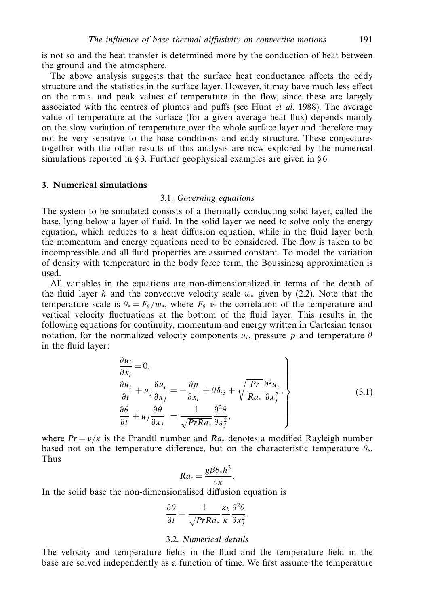is not so and the heat transfer is determined more by the conduction of heat between the ground and the atmosphere.

The above analysis suggests that the surface heat conductance affects the eddy structure and the statistics in the surface layer. However, it may have much less effect on the r.m.s. and peak values of temperature in the flow, since these are largely associated with the centres of plumes and puffs (see Hunt et al. 1988). The average value of temperature at the surface (for a given average heat flux) depends mainly on the slow variation of temperature over the whole surface layer and therefore may not be very sensitive to the base conditions and eddy structure. These conjectures together with the other results of this analysis are now explored by the numerical simulations reported in  $\S$ 3. Further geophysical examples are given in  $\S$ 6.

# *3. Numerical simulations*

#### 3.1. Governing equations

The system to be simulated consists of a thermally conducting solid layer, called the base, lying below a layer of fluid. In the solid layer we need to solve only the energy equation, which reduces to a heat diffusion equation, while in the fluid layer both the momentum and energy equations need to be considered. The flow is taken to be incompressible and all fluid properties are assumed constant. To model the variation of density with temperature in the body force term, the Boussinesq approximation is used.

All variables in the equations are non-dimensionalized in terms of the depth of the fluid layer *h* and the convective velocity scale  $w_*$  given by (2.2). Note that the temperature scale is  $\theta_* = F_\theta/w_*$ , where  $F_\theta$  is the correlation of the temperature and vertical velocity fluctuations at the bottom of the fluid layer. This results in the following equations for continuity, momentum and energy written in Cartesian tensor notation, for the normalized velocity components  $u_i$ , pressure *p* and temperature  $\theta$ in the fluid layer:

$$
\begin{aligned}\n\frac{\partial u_i}{\partial x_i} &= 0, \\
\frac{\partial u_i}{\partial t} + u_j \frac{\partial u_i}{\partial x_j} &= -\frac{\partial p}{\partial x_i} + \theta \delta_{i3} + \sqrt{\frac{Pr}{Ra_*}} \frac{\partial^2 u_i}{\partial x_j^2}, \\
\frac{\partial \theta}{\partial t} + u_j \frac{\partial \theta}{\partial x_j} &= \frac{1}{\sqrt{PrRa_*}} \frac{\partial^2 \theta}{\partial x_j^2},\n\end{aligned} \tag{3.1}
$$

where  $Pr = v/k$  is the Prandtl number and  $Ra_*$  denotes a modified Rayleigh number based not on the temperature difference, but on the characteristic temperature *θ*∗. Thus

$$
Ra_* = \frac{g\beta\theta_*h^3}{\nu\kappa}.
$$

In the solid base the non-dimensionalised diffusion equation is

$$
\frac{\partial \theta}{\partial t} = \frac{1}{\sqrt{PrRa_*}} \frac{\kappa_b}{\kappa} \frac{\partial^2 \theta}{\partial x_j^2}.
$$

#### 3.2. Numerical details

The velocity and temperature fields in the fluid and the temperature field in the base are solved independently as a function of time. We first assume the temperature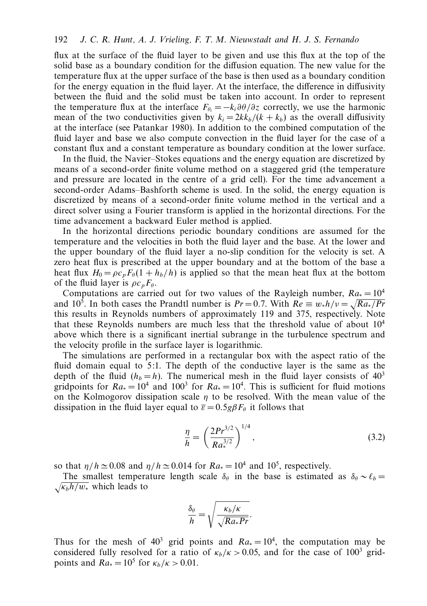flux at the surface of the fluid layer to be given and use this flux at the top of the solid base as a boundary condition for the diffusion equation. The new value for the temperature flux at the upper surface of the base is then used as a boundary condition for the energy equation in the fluid layer. At the interface, the difference in diffusivity between the fluid and the solid must be taken into account. In order to represent the temperature flux at the interface  $F_{\theta_i} = -k_i \frac{\partial \theta}{\partial z}$  correctly, we use the harmonic mean of the two conductivities given by  $k_i = 2kk_b/(k + k_b)$  as the overall diffusivity at the interface (see Patankar 1980). In addition to the combined computation of the fluid layer and base we also compute convection in the fluid layer for the case of a constant flux and a constant temperature as boundary condition at the lower surface.

In the fluid, the Navier–Stokes equations and the energy equation are discretized by means of a second-order finite volume method on a staggered grid (the temperature and pressure are located in the centre of a grid cell). For the time advancement a second-order Adams–Bashforth scheme is used. In the solid, the energy equation is discretized by means of a second-order finite volume method in the vertical and a direct solver using a Fourier transform is applied in the horizontal directions. For the time advancement a backward Euler method is applied.

In the horizontal directions periodic boundary conditions are assumed for the temperature and the velocities in both the fluid layer and the base. At the lower and the upper boundary of the fluid layer a no-slip condition for the velocity is set. A zero heat flux is prescribed at the upper boundary and at the bottom of the base a heat flux  $H_0 = \rho c_p F_\theta (1 + h_b/h)$  is applied so that the mean heat flux at the bottom of the fluid layer is  $\rho c_p F_\theta$ .

Computations are carried out for two values of the Rayleigh number,  $Ra_* = 10^4$ and 10<sup>5</sup>. In both cases the Prandtl number is  $Pr = 0.7$ . With  $Re \equiv w_* h/v = \sqrt{Ra_*/Pr}$ this results in Reynolds numbers of approximately 119 and 375, respectively. Note that these Reynolds numbers are much less that the threshold value of about  $10<sup>4</sup>$ above which there is a significant inertial subrange in the turbulence spectrum and the velocity profile in the surface layer is logarithmic.

The simulations are performed in a rectangular box with the aspect ratio of the fluid domain equal to 5:1. The depth of the conductive layer is the same as the depth of the fluid  $(h_b = h)$ . The numerical mesh in the fluid layer consists of  $40<sup>3</sup>$ gridpoints for  $Ra_0 = 10^4$  and  $100^3$  for  $Ra_0 = 10^4$ . This is sufficient for fluid motions on the Kolmogorov dissipation scale *η* to be resolved. With the mean value of the dissipation in the fluid layer equal to  $\bar{\varepsilon} = 0.5g\beta F_{\theta}$  it follows that

$$
\frac{\eta}{h} = \left(\frac{2Pr^{3/2}}{Ra_*^{3/2}}\right)^{1/4},\tag{3.2}
$$

so that  $\eta/h \approx 0.08$  and  $\eta/h \approx 0.014$  for  $Ra_* = 10^4$  and  $10^5$ , respectively.

The smallest temperature length scale  $\delta_\theta$  in the base is estimated as  $\delta_\theta \sim \ell_b =$  $\sqrt{\kappa_b h/w_*}$  which leads to

$$
\frac{\delta_{\theta}}{h} = \sqrt{\frac{\kappa_b/\kappa}{\sqrt{Ra_* Pr}}}.
$$

Thus for the mesh of  $40^3$  grid points and  $Ra_* = 10^4$ , the computation may be considered fully resolved for a ratio of  $\kappa_b/\kappa > 0.05$ , and for the case of 100<sup>3</sup> gridpoints and  $Ra_* = 10^5$  for  $\kappa_b/\kappa > 0.01$ .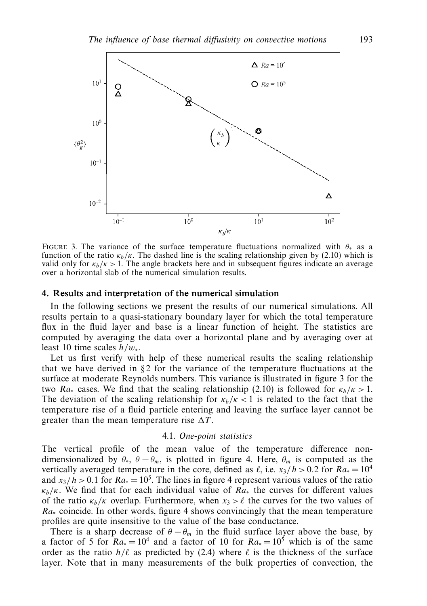

Figure 3. The variance of the surface temperature fluctuations normalized with *<sup>θ</sup>*<sup>∗</sup> as a function of the ratio  $\kappa_b/\kappa$ . The dashed line is the scaling relationship given by (2.10) which is valid only for  $\kappa_b/\kappa > 1$ . The angle brackets here and in subsequent figures indicate an average over a horizontal slab of the numerical simulation results.

### *4. Results and interpretation of the numerical simulation*

In the following sections we present the results of our numerical simulations. All results pertain to a quasi-stationary boundary layer for which the total temperature flux in the fluid layer and base is a linear function of height. The statistics are computed by averaging the data over a horizontal plane and by averaging over at least 10 time scales *h/w*∗.

Let us first verify with help of these numerical results the scaling relationship that we have derived in  $\S 2$  for the variance of the temperature fluctuations at the surface at moderate Reynolds numbers. This variance is illustrated in figure 3 for the two Ra<sub>∗</sub> cases. We find that the scaling relationship (2.10) is followed for  $\kappa_b/\kappa > 1$ . The deviation of the scaling relationship for  $\kappa_b/\kappa < 1$  is related to the fact that the temperature rise of a fluid particle entering and leaving the surface layer cannot be greater than the mean temperature rise  $\Delta T$ .

#### 4.1. One-point statistics

The vertical profile of the mean value of the temperature difference nondimensionalized by  $\theta_*$ ,  $\theta - \theta_m$ , is plotted in figure 4. Here,  $\theta_m$  is computed as the vertically averaged temperature in the core, defined as  $\ell$ , i.e.  $x_3/h > 0.2$  for  $Ra_* = 10^4$ and  $x_3/h > 0.1$  for  $Ra_* = 10^5$ . The lines in figure 4 represent various values of the ratio  $\kappa_b/\kappa$ . We find that for each individual value of  $Ra_*$  the curves for different values of the ratio  $\kappa_b/\kappa$  overlap. Furthermore, when  $x_3 > \ell$  the curves for the two values of *Ra*<sup>∗</sup> coincide. In other words, figure 4 shows convincingly that the mean temperature profiles are quite insensitive to the value of the base conductance.

There is a sharp decrease of  $\theta - \theta_m$  in the fluid surface layer above the base, by a factor of 5 for  $Ra_* = 10^4$  and a factor of 10 for  $Ra_* = 10^5$  which is of the same order as the ratio  $h/\ell$  as predicted by (2.4) where  $\ell$  is the thickness of the surface layer. Note that in many measurements of the bulk properties of convection, the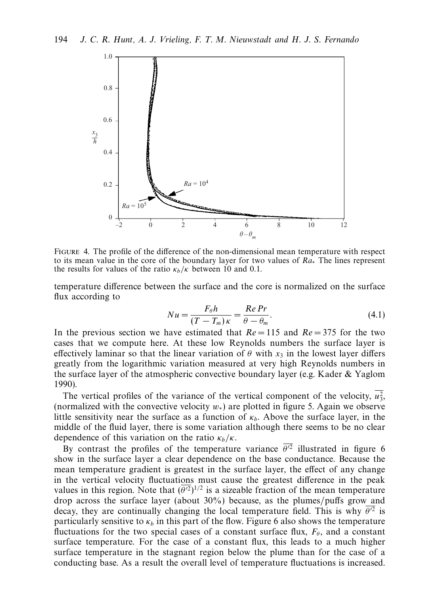

Figure 4. The profile of the difference of the non-dimensional mean temperature with respect to its mean value in the core of the boundary layer for two values of  $Ra_*$ . The lines represent the results for values of the ratio  $\kappa_b/\kappa$  between 10 and 0.1.

temperature difference between the surface and the core is normalized on the surface flux according to

$$
Nu = \frac{F_{\theta}h}{(T - T_m)\kappa} = \frac{Re\,Pr}{\theta - \theta_m}.\tag{4.1}
$$

In the previous section we have estimated that  $Re = 115$  and  $Re = 375$  for the two cases that we compute here. At these low Reynolds numbers the surface layer is effectively laminar so that the linear variation of  $\theta$  with  $x_3$  in the lowest layer differs greatly from the logarithmic variation measured at very high Reynolds numbers in the surface layer of the atmospheric convective boundary layer (e.g. Kader  $&Y$ aglom 1990).

The vertical profiles of the variance of the vertical component of the velocity,  $u_3^2$ , (normalized with the convective velocity *w*∗) are plotted in figure 5. Again we observe little sensitivity near the surface as a function of  $\kappa_b$ . Above the surface layer, in the middle of the fluid layer, there is some variation although there seems to be no clear dependence of this variation on the ratio  $\kappa_b/\kappa$ .

By contrast the profiles of the temperature variance  $\overline{\theta'^2}$  illustrated in figure 6 show in the surface layer a clear dependence on the base conductance. Because the mean temperature gradient is greatest in the surface layer, the effect of any change in the vertical velocity fluctuations must cause the greatest difference in the peak values in this region. Note that  $(\overline{\theta'^2})^{1/2}$  is a sizeable fraction of the mean temperature drop across the surface layer (about 30%) because, as the plumes/puffs grow and decay, they are continually changing the local temperature field. This is why  $\overline{\theta'^2}$  is particularly sensitive to  $\kappa_b$  in this part of the flow. Figure 6 also shows the temperature fluctuations for the two special cases of a constant surface flux,  $F_\theta$ , and a constant surface temperature. For the case of a constant flux, this leads to a much higher surface temperature in the stagnant region below the plume than for the case of a conducting base. As a result the overall level of temperature fluctuations is increased.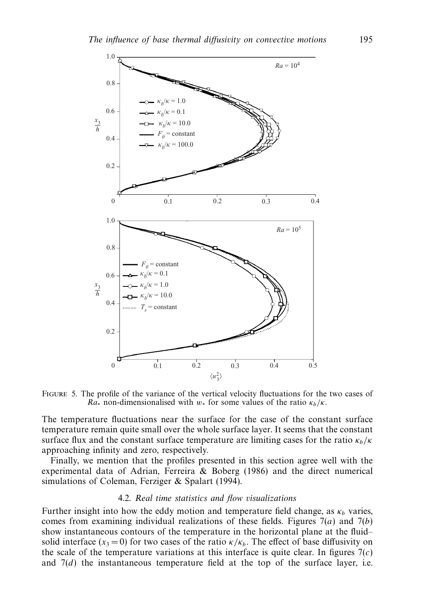

Figure 5. The profile of the variance of the vertical velocity fluctuations for the two cases of  $Ra^*$  non-dimensionalised with  $w^*$  for some values of the ratio  $\kappa_b/\kappa$ .

The temperature fluctuations near the surface for the case of the constant surface temperature remain quite small over the whole surface layer. It seems that the constant surface flux and the constant surface temperature are limiting cases for the ratio  $\kappa_b/\kappa$ approaching infinity and zero, respectively.

Finally, we mention that the profiles presented in this section agree well with the experimental data of Adrian, Ferreira & Boberg (1986) and the direct numerical simulations of Coleman, Ferziger & Spalart (1994).

# 4.2. Real time statistics and flow visualizations

Further insight into how the eddy motion and temperature field change, as  $\kappa_b$  varies, comes from examining individual realizations of these fields. Figures 7(*a*) and 7(*b*) show instantaneous contours of the temperature in the horizontal plane at the fluid– solid interface  $(x_3 = 0)$  for two cases of the ratio  $\kappa/\kappa_b$ . The effect of base diffusivity on the scale of the temperature variations at this interface is quite clear. In figures  $7(c)$ and  $7(d)$  the instantaneous temperature field at the top of the surface layer, i.e.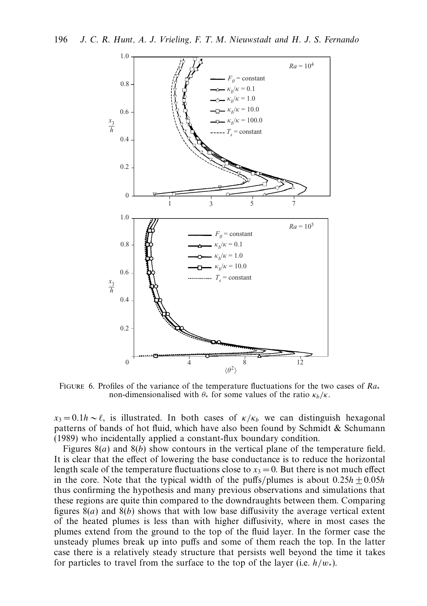

FIGURE 6. Profiles of the variance of the temperature fluctuations for the two cases of  $Ra_*$ non-dimensionalised with  $\theta_*$  for some values of the ratio  $\kappa_b/\kappa$ .

 $x_3 = 0.1h \sim \ell$ , is illustrated. In both cases of  $\kappa/\kappa_b$  we can distinguish hexagonal patterns of bands of hot fluid, which have also been found by Schmidt  $\&$  Schumann (1989) who incidentally applied a constant-flux boundary condition.

Figures 8(*a*) and 8(*b*) show contours in the vertical plane of the temperature field. It is clear that the effect of lowering the base conductance is to reduce the horizontal length scale of the temperature fluctuations close to  $x_3 = 0$ . But there is not much effect in the core. Note that the typical width of the puffs/plumes is about  $0.25h + 0.05h$ thus confirming the hypothesis and many previous observations and simulations that these regions are quite thin compared to the downdraughts between them. Comparing figures  $8(a)$  and  $8(b)$  shows that with low base diffusivity the average vertical extent of the heated plumes is less than with higher diffusivity, where in most cases the plumes extend from the ground to the top of the fluid layer. In the former case the unsteady plumes break up into puffs and some of them reach the top. In the latter case there is a relatively steady structure that persists well beyond the time it takes for particles to travel from the surface to the top of the layer (i.e.  $h/w_*$ ).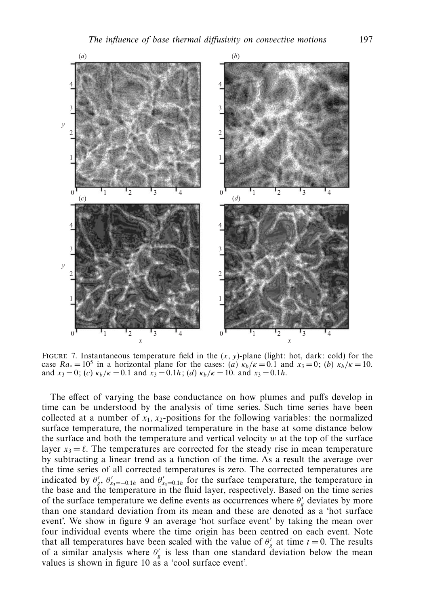

FIGURE 7. Instantaneous temperature field in the  $(x, y)$ -plane (light: hot, dark: cold) for the case  $Ra_* = 10^5$  in a horizontal plane for the cases: (*a*)  $\kappa_b/\kappa = 0.1$  and  $x_3 = 0$ ; (*b*)  $\kappa_b/\kappa = 10$ . and  $x_3 = 0$ ; (*c*)  $\kappa_b/\kappa = 0.1$  and  $x_3 = 0.1h$ ; (*d*)  $\kappa_b/\kappa = 10$ *.* and  $x_3 = 0.1h$ .

The effect of varying the base conductance on how plumes and puffs develop in time can be understood by the analysis of time series. Such time series have been collected at a number of  $x_1, x_2$ -positions for the following variables: the normalized surface temperature, the normalized temperature in the base at some distance below the surface and both the temperature and vertical velocity  $w$  at the top of the surface layer  $x_3 = \ell$ . The temperatures are corrected for the steady rise in mean temperature by subtracting a linear trend as a function of the time. As a result the average over the time series of all corrected temperatures is zero. The corrected temperatures are indicated by  $\theta'_{g}$ ,  $\theta'_{x_3=-0.1h}$  and  $\theta'_{x_3=0.1h}$  for the surface temperature, the temperature in the base and the temperature in the fluid layer, respectively. Based on the time series of the surface temperature we define events as occurrences where  $\theta_g$  deviates by more than one standard deviation from its mean and these are denoted as a 'hot surface event'. We show in figure 9 an average 'hot surface event' by taking the mean over four individual events where the time origin has been centred on each event. Note that all temperatures have been scaled with the value of  $\theta'_{g}$  at time  $t = 0$ . The results of a similar analysis where  $\theta'_g$  is less than one standard deviation below the mean values is shown in figure 10 as a 'cool surface event'.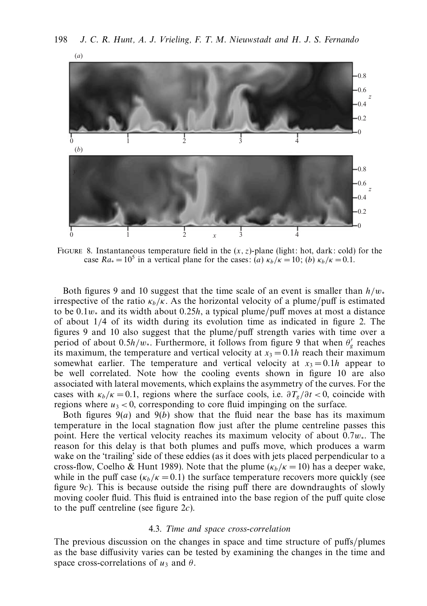

Figure 8. Instantaneous temperature field in the (*x,z*)-plane (light: hot, dark: cold) for the case  $Ra_* = 10^5$  in a vertical plane for the cases:  $(a) \kappa_b/\kappa = 10$ ; (*b*)  $\kappa_b/\kappa = 0.1$ .

Both figures 9 and 10 suggest that the time scale of an event is smaller than *h/w*<sup>∗</sup> irrespective of the ratio  $\kappa_b/\kappa$ . As the horizontal velocity of a plume/puff is estimated to be 0*.*1*w*<sup>∗</sup> and its width about 0*.*25*h*, a typical plume/puff moves at most a distance of about 1*/*4 of its width during its evolution time as indicated in figure 2. The figures 9 and 10 also suggest that the plume/puff strength varies with time over a period of about 0.5*h/w*∗. Furthermore, it follows from figure 9 that when  $\theta'_g$  reaches its maximum, the temperature and vertical velocity at  $x_3 = 0.1h$  reach their maximum somewhat earlier. The temperature and vertical velocity at  $x_3 = 0.1h$  appear to be well correlated. Note how the cooling events shown in figure 10 are also associated with lateral movements, which explains the asymmetry of the curves. For the cases with  $\kappa_b/\kappa = 0.1$ , regions where the surface cools, i.e.  $\frac{\partial T_g}{\partial t} < 0$ , coincide with regions where  $u_3 < 0$ , corresponding to core fluid impinging on the surface.

Both figures  $9(a)$  and  $9(b)$  show that the fluid near the base has its maximum temperature in the local stagnation flow just after the plume centreline passes this point. Here the vertical velocity reaches its maximum velocity of about 0*.*7*w*∗. The reason for this delay is that both plumes and puffs move, which produces a warm wake on the 'trailing' side of these eddies (as it does with jets placed perpendicular to a cross-flow, Coelho & Hunt 1989). Note that the plume  $(\kappa_b/\kappa = 10)$  has a deeper wake, while in the puff case  $(\kappa_b/\kappa = 0.1)$  the surface temperature recovers more quickly (see figure 9*c*). This is because outside the rising puff there are downdraughts of slowly moving cooler fluid. This fluid is entrained into the base region of the puff quite close to the puff centreline (see figure 2*c*).

#### 4.3. Time and space cross-correlation

The previous discussion on the changes in space and time structure of puffs/plumes as the base diffusivity varies can be tested by examining the changes in the time and space cross-correlations of  $u_3$  and  $\theta$ .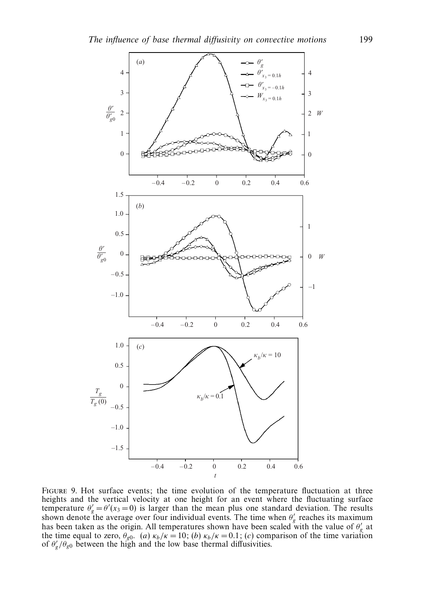

FIGURE 9. Hot surface events; the time evolution of the temperature fluctuation at three heights and the vertical velocity at one height for an event where the fluctuating surface temperature  $\theta'_{g} = \theta'(x_3 = 0)$  is larger than the mean plus one standard deviation. The results shown denote the average over four individual events. The time when  $\theta_g'$  reaches its maximum has been taken as the origin. All temperatures shown have been scaled with the value of  $\theta_{g}$  at the time equal to zero,  $\theta_{g0}$ . (*a*)  $\kappa_b/\kappa = 10$ ; (*b*)  $\kappa_b/\kappa = 0.1$ ; (*c*) comparison of the time variation of  $\theta'_{g}/\theta_{g0}$  between the high and the low base thermal diffusivities.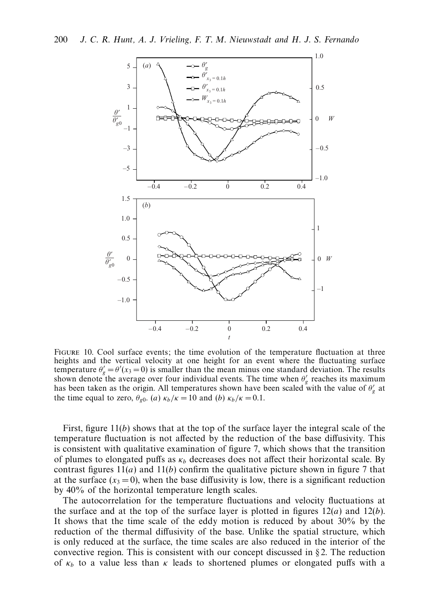

Figure 10. Cool surface events; the time evolution of the temperature fluctuation at three heights and the vertical velocity at one height for an event where the fluctuating surface temperature  $\theta'_{g} = \theta'(x_3 = 0)$  is smaller than the mean minus one standard deviation. The results shown denote the average over four individual events. The time when  $\theta'_{g}$  reaches its maximum has been taken as the origin. All temperatures shown have been scaled with the value of  $\theta'_{g}$  at the time equal to zero,  $\theta_{g0}$ . (*a*)  $\kappa_b/\kappa = 10$  and (*b*)  $\kappa_b/\kappa = 0.1$ .

First, figure 11(*b*) shows that at the top of the surface layer the integral scale of the temperature fluctuation is not affected by the reduction of the base diffusivity. This is consistent with qualitative examination of figure 7, which shows that the transition of plumes to elongated puffs as  $\kappa_b$  decreases does not affect their horizontal scale. By contrast figures  $11(a)$  and  $11(b)$  confirm the qualitative picture shown in figure 7 that at the surface  $(x_3 = 0)$ , when the base diffusivity is low, there is a significant reduction by 40% of the horizontal temperature length scales.

The autocorrelation for the temperature fluctuations and velocity fluctuations at the surface and at the top of the surface layer is plotted in figures  $12(a)$  and  $12(b)$ . It shows that the time scale of the eddy motion is reduced by about 30% by the reduction of the thermal diffusivity of the base. Unlike the spatial structure, which is only reduced at the surface, the time scales are also reduced in the interior of the convective region. This is consistent with our concept discussed in  $\S 2$ . The reduction of  $\kappa_b$  to a value less than  $\kappa$  leads to shortened plumes or elongated puffs with a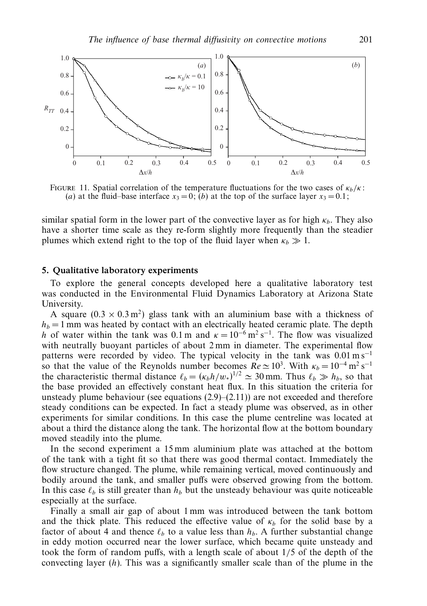

FIGURE 11. Spatial correlation of the temperature fluctuations for the two cases of  $\kappa_b/\kappa$ : (*a*) at the fluid–base interface  $x_3 = 0$ ; (*b*) at the top of the surface layer  $x_3 = 0.1$ ;

similar spatial form in the lower part of the convective layer as for high  $\kappa_b$ . They also have a shorter time scale as they re-form slightly more frequently than the steadier plumes which extend right to the top of the fluid layer when  $\kappa_b \gg 1$ .

#### *5. Qualitative laboratory experiments*

To explore the general concepts developed here a qualitative laboratory test was conducted in the Environmental Fluid Dynamics Laboratory at Arizona State University.

A square  $(0.3 \times 0.3 \text{ m}^2)$  glass tank with an aluminium base with a thickness of  $h_b = 1$  mm was heated by contact with an electrically heated ceramic plate. The depth *h* of water within the tank was 0.1 m and  $\kappa = 10^{-6}$  m<sup>2</sup> s<sup>-1</sup>. The flow was visualized with neutrally buoyant particles of about 2 mm in diameter. The experimental flow patterns were recorded by video. The typical velocity in the tank was 0.01 m s<sup>−1</sup> so that the value of the Reynolds number becomes  $Re \approx 10^3$ . With  $\kappa_b = 10^{-4} \text{ m}^2 \text{ s}^{-1}$ the characteristic thermal distance  $\ell_b = (\kappa_b h/w_*)^{1/2} \approx 30$  mm. Thus  $\ell_b \gg h_b$ , so that the base provided an effectively constant heat flux. In this situation the criteria for unsteady plume behaviour (see equations  $(2.9)$ – $(2.11)$ ) are not exceeded and therefore steady conditions can be expected. In fact a steady plume was observed, as in other experiments for similar conditions. In this case the plume centreline was located at about a third the distance along the tank. The horizontal flow at the bottom boundary moved steadily into the plume.

In the second experiment a 15 mm aluminium plate was attached at the bottom of the tank with a tight fit so that there was good thermal contact. Immediately the flow structure changed. The plume, while remaining vertical, moved continuously and bodily around the tank, and smaller puffs were observed growing from the bottom. In this case  $\ell_b$  is still greater than  $h_b$  but the unsteady behaviour was quite noticeable especially at the surface.

Finally a small air gap of about 1 mm was introduced between the tank bottom and the thick plate. This reduced the effective value of  $\kappa_b$  for the solid base by a factor of about 4 and thence  $\ell_b$  to a value less than  $h_b$ . A further substantial change in eddy motion occurred near the lower surface, which became quite unsteady and took the form of random puffs, with a length scale of about 1*/*5 of the depth of the convecting layer (*h*). This was a significantly smaller scale than of the plume in the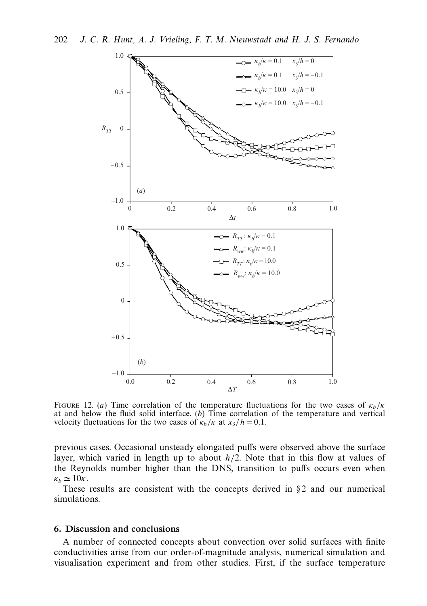

FIGURE 12. (*a*) Time correlation of the temperature fluctuations for the two cases of  $\kappa_b/\kappa$ at and below the fluid solid interface. (*b*) Time correlation of the temperature and vertical velocity fluctuations for the two cases of  $\kappa_b / \kappa$  at  $x_3 / h = 0.1$ .

previous cases. Occasional unsteady elongated puffs were observed above the surface layer, which varied in length up to about *h/*2. Note that in this flow at values of the Reynolds number higher than the DNS, transition to puffs occurs even when  $\kappa_b \simeq 10\kappa$ .

These results are consistent with the concepts derived in  $\S$ 2 and our numerical simulations.

#### *6. Discussion and conclusions*

A number of connected concepts about convection over solid surfaces with finite conductivities arise from our order-of-magnitude analysis, numerical simulation and visualisation experiment and from other studies. First, if the surface temperature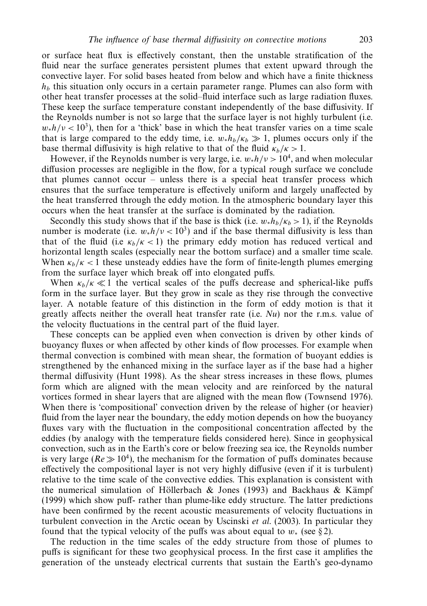or surface heat flux is effectively constant, then the unstable stratification of the fluid near the surface generates persistent plumes that extent upward through the convective layer. For solid bases heated from below and which have a finite thickness  $h_b$  this situation only occurs in a certain parameter range. Plumes can also form with other heat transfer processes at the solid–fluid interface such as large radiation fluxes. These keep the surface temperature constant independently of the base diffusivity. If the Reynolds number is not so large that the surface layer is not highly turbulent (i.e.  $w_*h/\nu < 10^3$ ), then for a 'thick' base in which the heat transfer varies on a time scale that is large compared to the eddy time, i.e.  $w_*h_b/\kappa_b \gg 1$ , plumes occurs only if the base thermal diffusivity is high relative to that of the fluid  $\kappa_b/\kappa > 1$ .

However, if the Reynolds number is very large, i.e.  $w_*h/\nu > 10^4$ , and when molecular diffusion processes are negligible in the flow, for a typical rough surface we conclude that plumes cannot occur – unless there is a special heat transfer process which ensures that the surface temperature is effectively uniform and largely unaffected by the heat transferred through the eddy motion. In the atmospheric boundary layer this occurs when the heat transfer at the surface is dominated by the radiation.

Secondly this study shows that if the base is thick (i.e.  $w_*h_b/\kappa_b > 1$ ), if the Reynolds number is moderate (i.e.  $w_*h/\nu < 10^3$ ) and if the base thermal diffusivity is less than that of the fluid (i.e  $\kappa_b/\kappa < 1$ ) the primary eddy motion has reduced vertical and horizontal length scales (especially near the bottom surface) and a smaller time scale. When  $\kappa_b/\kappa < 1$  these unsteady eddies have the form of finite-length plumes emerging from the surface layer which break off into elongated puffs.

When  $\kappa_b/\kappa \ll 1$  the vertical scales of the puffs decrease and spherical-like puffs form in the surface layer. But they grow in scale as they rise through the convective layer. A notable feature of this distinction in the form of eddy motion is that it greatly affects neither the overall heat transfer rate (i.e.  $Nu$ ) nor the r.m.s. value of the velocity fluctuations in the central part of the fluid layer.

These concepts can be applied even when convection is driven by other kinds of buoyancy fluxes or when affected by other kinds of flow processes. For example when thermal convection is combined with mean shear, the formation of buoyant eddies is strengthened by the enhanced mixing in the surface layer as if the base had a higher thermal diffusivity (Hunt 1998). As the shear stress increases in these flows, plumes form which are aligned with the mean velocity and are reinforced by the natural vortices formed in shear layers that are aligned with the mean flow (Townsend 1976). When there is 'compositional' convection driven by the release of higher (or heavier) fluid from the layer near the boundary, the eddy motion depends on how the buoyancy fluxes vary with the fluctuation in the compositional concentration affected by the eddies (by analogy with the temperature fields considered here). Since in geophysical convection, such as in the Earth's core or below freezing sea ice, the Reynolds number is very large ( $Re \gg 10^4$ ), the mechanism for the formation of puffs dominates because effectively the compositional layer is not very highly diffusive (even if it is turbulent) relative to the time scale of the convective eddies. This explanation is consistent with the numerical simulation of Höllerbach & Jones (1993) and Backhaus & Kämpf (1999) which show puff- rather than plume-like eddy structure. The latter predictions have been confirmed by the recent acoustic measurements of velocity fluctuations in turbulent convection in the Arctic ocean by Uscinski *et al.* (2003). In particular they found that the typical velocity of the puffs was about equal to  $w_*$  (see §2).

The reduction in the time scales of the eddy structure from those of plumes to puffs is significant for these two geophysical process. In the first case it amplifies the generation of the unsteady electrical currents that sustain the Earth's geo-dynamo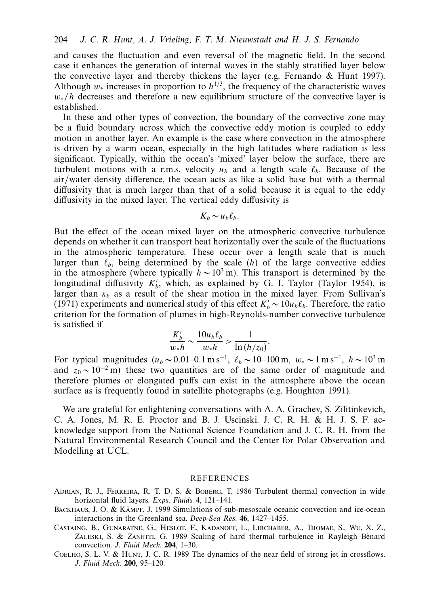and causes the fluctuation and even reversal of the magnetic field. In the second case it enhances the generation of internal waves in the stably stratified layer below the convective layer and thereby thickens the layer (e.g. Fernando  $\&$  Hunt 1997). Although  $w_*$  increases in proportion to  $h^{1/3}$ , the frequency of the characteristic waves *w*<sup>∗</sup>/*h* decreases and therefore a new equilibrium structure of the convective layer is established.

In these and other types of convection, the boundary of the convective zone may be a fluid boundary across which the convective eddy motion is coupled to eddy motion in another layer. An example is the case where convection in the atmosphere is driven by a warm ocean, especially in the high latitudes where radiation is less significant. Typically, within the ocean's 'mixed' layer below the surface, there are turbulent motions with a r.m.s. velocity  $u_b$  and a length scale  $\ell_b$ . Because of the air/water density difference, the ocean acts as like a solid base but with a thermal diffusivity that is much larger than that of a solid because it is equal to the eddy diffusivity in the mixed layer. The vertical eddy diffusivity is

$$
K_b \sim u_b \ell_b.
$$

But the effect of the ocean mixed layer on the atmospheric convective turbulence depends on whether it can transport heat horizontally over the scale of the fluctuations in the atmospheric temperature. These occur over a length scale that is much larger than  $\ell_b$ , being determined by the scale  $(h)$  of the large convective eddies in the atmosphere (where typically  $h \sim 10^3$  m). This transport is determined by the longitudinal diffusivity  $K_b'$ , which, as explained by G. I. Taylor (Taylor 1954), is larger than  $\kappa_b$  as a result of the shear motion in the mixed layer. From Sullivan's (1971) experiments and numerical study of this effect  $K'_b \sim 10u_b\ell_b$ . Therefore, the ratio criterion for the formation of plumes in high-Reynolds-number convective turbulence is satisfied if

$$
\frac{K_b'}{w_*h} \sim \frac{10u_b \ell_b}{w_*h} > \frac{1}{\ln(h/z_0)}.
$$

For typical magnitudes  $(u_b \sim 0.01 - 0.1 \text{ m s}^{-1}, \ell_b \sim 10 - 100 \text{ m}, w_* \sim 1 \text{ m s}^{-1}, h \sim 10^3 \text{ m}$ and  $z_0 \sim 10^{-2}$  m) these two quantities are of the same order of magnitude and therefore plumes or elongated puffs can exist in the atmosphere above the ocean surface as is frequently found in satellite photographs (e.g. Houghton 1991).

We are grateful for enlightening conversations with A. A. Grachev, S. Zilitinkevich, C. A. Jones, M. R. E. Proctor and B. J. Uscinski. J. C. R. H. & H. J. S. F. acknowledge support from the National Science Foundation and J. C. R. H. from the Natural Environmental Research Council and the Center for Polar Observation and Modelling at UCL.

#### REFERENCES

- Adrian, R. J., Ferreira, R. T. D. S. & Boberg, T. 1986 Turbulent thermal convection in wide horizontal fluid layers. Exps. Fluids **4**, 121–141.
- BACKHAUS, J. O. & KÄMPF, J. 1999 Simulations of sub-mesoscale oceanic convection and ice-ocean interactions in the Greenland sea. Deep-Sea Res. **46**, 1427–1455.
- Castaing, B., Gunaratne, G., Heslot, F., Kadanoff, L., Libchaber, A., Thomae, S., Wu, X. Z., ZALESKI, S. & ZANETTI, G. 1989 Scaling of hard thermal turbulence in Rayleigh–Bénard convection. J. Fluid Mech. **204**, 1–30.
- Coelho, S. L. V. & Hunt, J. C. R. 1989 The dynamics of the near field of strong jet in crossflows. J. Fluid Mech. **200**, 95–120.